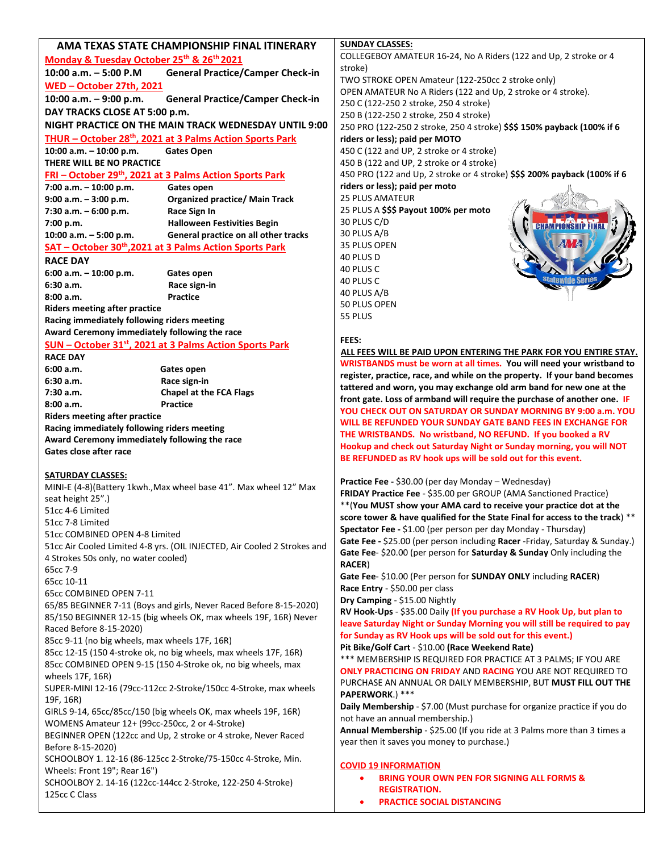| COLLEGEBOY AMATEUR 16-24, No A Riders (122 and Up, 2 stroke or 4<br>Monday & Tuesday October 25th & 26th 2021<br>stroke)<br><b>General Practice/Camper Check-in</b><br>10:00 a.m. $-5:00$ P.M<br>TWO STROKE OPEN Amateur (122-250cc 2 stroke only)<br><u> WED - October 27th, 2021</u><br>OPEN AMATEUR No A Riders (122 and Up, 2 stroke or 4 stroke).<br>10:00 a.m. $-9:00$ p.m.<br><b>General Practice/Camper Check-in</b><br>250 C (122-250 2 stroke, 250 4 stroke)<br>DAY TRACKS CLOSE AT 5:00 p.m.<br>250 B (122-250 2 stroke, 250 4 stroke)<br>NIGHT PRACTICE ON THE MAIN TRACK WEDNESDAY UNTIL 9:00<br>250 PRO (122-250 2 stroke, 250 4 stroke) \$\$\$ 150% payback (100% if 6<br>THUR - October 28 <sup>th</sup> , 2021 at 3 Palms Action Sports Park<br>riders or less); paid per MOTO<br>10:00 a.m. - 10:00 p.m.<br>450 C (122 and UP, 2 stroke or 4 stroke)<br><b>Gates Open</b><br>THERE WILL BE NO PRACTICE<br>450 B (122 and UP, 2 stroke or 4 stroke)<br>450 PRO (122 and Up, 2 stroke or 4 stroke) \$\$\$ 200% payback (100% if 6<br>FRI - October 29th, 2021 at 3 Palms Action Sports Park<br>riders or less); paid per moto<br><b>Gates open</b><br>7:00 a.m. $-10:00$ p.m.<br><b>25 PLUS AMATEUR</b><br><b>Organized practice/ Main Track</b><br>$9:00$ a.m. $-3:00$ p.m.<br>25 PLUS A \$\$\$ Payout 100% per moto<br>7:30 a.m. - 6:00 p.m.<br>Race Sign In<br>30 PLUS C/D<br>7:00 p.m.<br><b>Halloween Festivities Begin</b><br>30 PLUS A/B<br>10:00 a.m. - 5:00 p.m.<br>General practice on all other tracks<br>35 PLUS OPEN<br>SAT - October 30th, 2021 at 3 Palms Action Sports Park<br>40 PLUS D<br><b>RACE DAY</b><br>40 PLUS C<br>$6:00$ a.m. $-10:00$ p.m.<br>Gates open<br>40 PLUS C<br>6:30a.m.<br>Race sign-in<br>40 PLUS A/B<br>8:00a.m.<br>Practice<br>50 PLUS OPEN<br><b>Riders meeting after practice</b><br>55 PLUS<br>Racing immediately following riders meeting<br>Award Ceremony immediately following the race<br>FEES:<br>SUN - October 31 <sup>st</sup> , 2021 at 3 Palms Action Sports Park<br>ALL FEES WILL BE PAID UPON ENTERING THE PARK FOR YOU ENTIRE STAY.<br><b>RACE DAY</b><br>WRISTBANDS must be worn at all times. You will need your wristband to<br>6:00 a.m.<br>Gates open<br>register, practice, race, and while on the property. If your band becomes<br>6:30a.m.<br>Race sign-in<br>tattered and worn, you may exchange old arm band for new one at the<br><b>Chapel at the FCA Flags</b><br>7:30 a.m.<br>front gate. Loss of armband will require the purchase of another one. IF<br>Practice<br>8:00 a.m.<br>YOU CHECK OUT ON SATURDAY OR SUNDAY MORNING BY 9:00 a.m. YOU<br><b>Riders meeting after practice</b><br>WILL BE REFUNDED YOUR SUNDAY GATE BAND FEES IN EXCHANGE FOR<br>Racing immediately following riders meeting<br>THE WRISTBANDS. No wristband, NO REFUND. If you booked a RV<br>Award Ceremony immediately following the race<br>Hookup and check out Saturday Night or Sunday morning, you will NOT<br>Gates close after race<br>BE REFUNDED as RV hook ups will be sold out for this event.<br><b>SATURDAY CLASSES:</b><br>Practice Fee - \$30.00 (per day Monday - Wednesday)<br>MINI-E (4-8)(Battery 1kwh., Max wheel base 41". Max wheel 12" Max<br>FRIDAY Practice Fee - \$35.00 per GROUP (AMA Sanctioned Practice)<br>seat height 25".)<br>** (You MUST show your AMA card to receive your practice dot at the<br>51cc 4-6 Limited<br>score tower & have qualified for the State Final for access to the track) **<br>51cc 7-8 Limited<br>Spectator Fee - \$1.00 (per person per day Monday - Thursday)<br>51cc COMBINED OPEN 4-8 Limited<br>Gate Fee - \$25.00 (per person including Racer -Friday, Saturday & Sunday.)<br>51cc Air Cooled Limited 4-8 yrs. (OIL INJECTED, Air Cooled 2 Strokes and<br>Gate Fee- \$20.00 (per person for Saturday & Sunday Only including the<br>4 Strokes 50s only, no water cooled)<br><b>RACER)</b><br>65cc 7-9<br>Gate Fee- \$10.00 (Per person for SUNDAY ONLY including RACER)<br>65cc 10-11<br>Race Entry - \$50.00 per class<br>65cc COMBINED OPEN 7-11<br>Dry Camping - \$15.00 Nightly<br>65/85 BEGINNER 7-11 (Boys and girls, Never Raced Before 8-15-2020)<br>RV Hook-Ups - \$35.00 Daily (If you purchase a RV Hook Up, but plan to<br>85/150 BEGINNER 12-15 (big wheels OK, max wheels 19F, 16R) Never<br>leave Saturday Night or Sunday Morning you will still be required to pay<br>Raced Before 8-15-2020)<br>for Sunday as RV Hook ups will be sold out for this event.)<br>85cc 9-11 (no big wheels, max wheels 17F, 16R)<br>Pit Bike/Golf Cart - \$10.00 (Race Weekend Rate)<br>85cc 12-15 (150 4-stroke ok, no big wheels, max wheels 17F, 16R)<br>*** MEMBERSHIP IS REQUIRED FOR PRACTICE AT 3 PALMS; IF YOU ARE<br>85cc COMBINED OPEN 9-15 (150 4-Stroke ok, no big wheels, max<br>ONLY PRACTICING ON FRIDAY AND RACING YOU ARE NOT REQUIRED TO<br>wheels 17F, 16R)<br>PURCHASE AN ANNUAL OR DAILY MEMBERSHIP, BUT MUST FILL OUT THE<br>SUPER-MINI 12-16 (79cc-112cc 2-Stroke/150cc 4-Stroke, max wheels<br>PAPERWORK.) ***<br>19F, 16R)<br>Daily Membership - \$7.00 (Must purchase for organize practice if you do<br>GIRLS 9-14, 65cc/85cc/150 (big wheels OK, max wheels 19F, 16R)<br>not have an annual membership.)<br>WOMENS Amateur 12+ (99cc-250cc, 2 or 4-Stroke)<br>Annual Membership - \$25.00 (If you ride at 3 Palms more than 3 times a<br>BEGINNER OPEN (122cc and Up, 2 stroke or 4 stroke, Never Raced<br>year then it saves you money to purchase.)<br>Before 8-15-2020)<br>SCHOOLBOY 1. 12-16 (86-125cc 2-Stroke/75-150cc 4-Stroke, Min.<br><b>COVID 19 INFORMATION</b><br>Wheels: Front 19"; Rear 16")<br><b>BRING YOUR OWN PEN FOR SIGNING ALL FORMS &amp;</b><br>٠<br>SCHOOLBOY 2. 14-16 (122cc-144cc 2-Stroke, 122-250 4-Stroke)<br><b>REGISTRATION.</b><br>125cc C Class<br><b>PRACTICE SOCIAL DISTANCING</b><br>$\bullet$ | AMA TEXAS STATE CHAMPIONSHIP FINAL ITINERARY | <b>SUNDAY CLASSES:</b> |
|----------------------------------------------------------------------------------------------------------------------------------------------------------------------------------------------------------------------------------------------------------------------------------------------------------------------------------------------------------------------------------------------------------------------------------------------------------------------------------------------------------------------------------------------------------------------------------------------------------------------------------------------------------------------------------------------------------------------------------------------------------------------------------------------------------------------------------------------------------------------------------------------------------------------------------------------------------------------------------------------------------------------------------------------------------------------------------------------------------------------------------------------------------------------------------------------------------------------------------------------------------------------------------------------------------------------------------------------------------------------------------------------------------------------------------------------------------------------------------------------------------------------------------------------------------------------------------------------------------------------------------------------------------------------------------------------------------------------------------------------------------------------------------------------------------------------------------------------------------------------------------------------------------------------------------------------------------------------------------------------------------------------------------------------------------------------------------------------------------------------------------------------------------------------------------------------------------------------------------------------------------------------------------------------------------------------------------------------------------------------------------------------------------------------------------------------------------------------------------------------------------------------------------------------------------------------------------------------------------------------------------------------------------------------------------------------------------------------------------------------------------------------------------------------------------------------------------------------------------------------------------------------------------------------------------------------------------------------------------------------------------------------------------------------------------------------------------------------------------------------------------------------------------------------------------------------------------------------------------------------------------------------------------------------------------------------------------------------------------------------------------------------------------------------------------------------------------------------------------------------------------------------------------------------------------------------------------------------------------------------------------------------------------------------------------------------------------------------------------------------------------------------------------------------------------------------------------------------------------------------------------------------------------------------------------------------------------------------------------------------------------------------------------------------------------------------------------------------------------------------------------------------------------------------------------------------------------------------------------------------------------------------------------------------------------------------------------------------------------------------------------------------------------------------------------------------------------------------------------------------------------------------------------------------------------------------------------------------------------------------------------------------------------------------------------------------------------------------------------------------------------------------------------------------------------------------------------------------------------------------------------------------------------------------------------------------------------------------------------------------------------------------------------------------------------------------------------------------------------------------------------------------------------------------------------------------------------------------------------------------------------------------------------------------------------------------------------------------------------------------------------------------------------------------------------------------------------------------------------------------------------------------------------------------------------------------------------------------------------------------------------------------------------------------------------------------------------------------------------------------------------------------------------------------------------------------------------------------------------------------------------------------------|----------------------------------------------|------------------------|
|                                                                                                                                                                                                                                                                                                                                                                                                                                                                                                                                                                                                                                                                                                                                                                                                                                                                                                                                                                                                                                                                                                                                                                                                                                                                                                                                                                                                                                                                                                                                                                                                                                                                                                                                                                                                                                                                                                                                                                                                                                                                                                                                                                                                                                                                                                                                                                                                                                                                                                                                                                                                                                                                                                                                                                                                                                                                                                                                                                                                                                                                                                                                                                                                                                                                                                                                                                                                                                                                                                                                                                                                                                                                                                                                                                                                                                                                                                                                                                                                                                                                                                                                                                                                                                                                                                                                                                                                                                                                                                                                                                                                                                                                                                                                                                                                                                                                                                                                                                                                                                                                                                                                                                                                                                                                                                                                                                                                                                                                                                                                                                                                                                                                                                                                                                                                                                                                                                    |                                              |                        |
|                                                                                                                                                                                                                                                                                                                                                                                                                                                                                                                                                                                                                                                                                                                                                                                                                                                                                                                                                                                                                                                                                                                                                                                                                                                                                                                                                                                                                                                                                                                                                                                                                                                                                                                                                                                                                                                                                                                                                                                                                                                                                                                                                                                                                                                                                                                                                                                                                                                                                                                                                                                                                                                                                                                                                                                                                                                                                                                                                                                                                                                                                                                                                                                                                                                                                                                                                                                                                                                                                                                                                                                                                                                                                                                                                                                                                                                                                                                                                                                                                                                                                                                                                                                                                                                                                                                                                                                                                                                                                                                                                                                                                                                                                                                                                                                                                                                                                                                                                                                                                                                                                                                                                                                                                                                                                                                                                                                                                                                                                                                                                                                                                                                                                                                                                                                                                                                                                                    |                                              |                        |
|                                                                                                                                                                                                                                                                                                                                                                                                                                                                                                                                                                                                                                                                                                                                                                                                                                                                                                                                                                                                                                                                                                                                                                                                                                                                                                                                                                                                                                                                                                                                                                                                                                                                                                                                                                                                                                                                                                                                                                                                                                                                                                                                                                                                                                                                                                                                                                                                                                                                                                                                                                                                                                                                                                                                                                                                                                                                                                                                                                                                                                                                                                                                                                                                                                                                                                                                                                                                                                                                                                                                                                                                                                                                                                                                                                                                                                                                                                                                                                                                                                                                                                                                                                                                                                                                                                                                                                                                                                                                                                                                                                                                                                                                                                                                                                                                                                                                                                                                                                                                                                                                                                                                                                                                                                                                                                                                                                                                                                                                                                                                                                                                                                                                                                                                                                                                                                                                                                    |                                              |                        |
|                                                                                                                                                                                                                                                                                                                                                                                                                                                                                                                                                                                                                                                                                                                                                                                                                                                                                                                                                                                                                                                                                                                                                                                                                                                                                                                                                                                                                                                                                                                                                                                                                                                                                                                                                                                                                                                                                                                                                                                                                                                                                                                                                                                                                                                                                                                                                                                                                                                                                                                                                                                                                                                                                                                                                                                                                                                                                                                                                                                                                                                                                                                                                                                                                                                                                                                                                                                                                                                                                                                                                                                                                                                                                                                                                                                                                                                                                                                                                                                                                                                                                                                                                                                                                                                                                                                                                                                                                                                                                                                                                                                                                                                                                                                                                                                                                                                                                                                                                                                                                                                                                                                                                                                                                                                                                                                                                                                                                                                                                                                                                                                                                                                                                                                                                                                                                                                                                                    |                                              |                        |
|                                                                                                                                                                                                                                                                                                                                                                                                                                                                                                                                                                                                                                                                                                                                                                                                                                                                                                                                                                                                                                                                                                                                                                                                                                                                                                                                                                                                                                                                                                                                                                                                                                                                                                                                                                                                                                                                                                                                                                                                                                                                                                                                                                                                                                                                                                                                                                                                                                                                                                                                                                                                                                                                                                                                                                                                                                                                                                                                                                                                                                                                                                                                                                                                                                                                                                                                                                                                                                                                                                                                                                                                                                                                                                                                                                                                                                                                                                                                                                                                                                                                                                                                                                                                                                                                                                                                                                                                                                                                                                                                                                                                                                                                                                                                                                                                                                                                                                                                                                                                                                                                                                                                                                                                                                                                                                                                                                                                                                                                                                                                                                                                                                                                                                                                                                                                                                                                                                    |                                              |                        |
|                                                                                                                                                                                                                                                                                                                                                                                                                                                                                                                                                                                                                                                                                                                                                                                                                                                                                                                                                                                                                                                                                                                                                                                                                                                                                                                                                                                                                                                                                                                                                                                                                                                                                                                                                                                                                                                                                                                                                                                                                                                                                                                                                                                                                                                                                                                                                                                                                                                                                                                                                                                                                                                                                                                                                                                                                                                                                                                                                                                                                                                                                                                                                                                                                                                                                                                                                                                                                                                                                                                                                                                                                                                                                                                                                                                                                                                                                                                                                                                                                                                                                                                                                                                                                                                                                                                                                                                                                                                                                                                                                                                                                                                                                                                                                                                                                                                                                                                                                                                                                                                                                                                                                                                                                                                                                                                                                                                                                                                                                                                                                                                                                                                                                                                                                                                                                                                                                                    |                                              |                        |
|                                                                                                                                                                                                                                                                                                                                                                                                                                                                                                                                                                                                                                                                                                                                                                                                                                                                                                                                                                                                                                                                                                                                                                                                                                                                                                                                                                                                                                                                                                                                                                                                                                                                                                                                                                                                                                                                                                                                                                                                                                                                                                                                                                                                                                                                                                                                                                                                                                                                                                                                                                                                                                                                                                                                                                                                                                                                                                                                                                                                                                                                                                                                                                                                                                                                                                                                                                                                                                                                                                                                                                                                                                                                                                                                                                                                                                                                                                                                                                                                                                                                                                                                                                                                                                                                                                                                                                                                                                                                                                                                                                                                                                                                                                                                                                                                                                                                                                                                                                                                                                                                                                                                                                                                                                                                                                                                                                                                                                                                                                                                                                                                                                                                                                                                                                                                                                                                                                    |                                              |                        |
|                                                                                                                                                                                                                                                                                                                                                                                                                                                                                                                                                                                                                                                                                                                                                                                                                                                                                                                                                                                                                                                                                                                                                                                                                                                                                                                                                                                                                                                                                                                                                                                                                                                                                                                                                                                                                                                                                                                                                                                                                                                                                                                                                                                                                                                                                                                                                                                                                                                                                                                                                                                                                                                                                                                                                                                                                                                                                                                                                                                                                                                                                                                                                                                                                                                                                                                                                                                                                                                                                                                                                                                                                                                                                                                                                                                                                                                                                                                                                                                                                                                                                                                                                                                                                                                                                                                                                                                                                                                                                                                                                                                                                                                                                                                                                                                                                                                                                                                                                                                                                                                                                                                                                                                                                                                                                                                                                                                                                                                                                                                                                                                                                                                                                                                                                                                                                                                                                                    |                                              |                        |
|                                                                                                                                                                                                                                                                                                                                                                                                                                                                                                                                                                                                                                                                                                                                                                                                                                                                                                                                                                                                                                                                                                                                                                                                                                                                                                                                                                                                                                                                                                                                                                                                                                                                                                                                                                                                                                                                                                                                                                                                                                                                                                                                                                                                                                                                                                                                                                                                                                                                                                                                                                                                                                                                                                                                                                                                                                                                                                                                                                                                                                                                                                                                                                                                                                                                                                                                                                                                                                                                                                                                                                                                                                                                                                                                                                                                                                                                                                                                                                                                                                                                                                                                                                                                                                                                                                                                                                                                                                                                                                                                                                                                                                                                                                                                                                                                                                                                                                                                                                                                                                                                                                                                                                                                                                                                                                                                                                                                                                                                                                                                                                                                                                                                                                                                                                                                                                                                                                    |                                              |                        |
|                                                                                                                                                                                                                                                                                                                                                                                                                                                                                                                                                                                                                                                                                                                                                                                                                                                                                                                                                                                                                                                                                                                                                                                                                                                                                                                                                                                                                                                                                                                                                                                                                                                                                                                                                                                                                                                                                                                                                                                                                                                                                                                                                                                                                                                                                                                                                                                                                                                                                                                                                                                                                                                                                                                                                                                                                                                                                                                                                                                                                                                                                                                                                                                                                                                                                                                                                                                                                                                                                                                                                                                                                                                                                                                                                                                                                                                                                                                                                                                                                                                                                                                                                                                                                                                                                                                                                                                                                                                                                                                                                                                                                                                                                                                                                                                                                                                                                                                                                                                                                                                                                                                                                                                                                                                                                                                                                                                                                                                                                                                                                                                                                                                                                                                                                                                                                                                                                                    |                                              |                        |
|                                                                                                                                                                                                                                                                                                                                                                                                                                                                                                                                                                                                                                                                                                                                                                                                                                                                                                                                                                                                                                                                                                                                                                                                                                                                                                                                                                                                                                                                                                                                                                                                                                                                                                                                                                                                                                                                                                                                                                                                                                                                                                                                                                                                                                                                                                                                                                                                                                                                                                                                                                                                                                                                                                                                                                                                                                                                                                                                                                                                                                                                                                                                                                                                                                                                                                                                                                                                                                                                                                                                                                                                                                                                                                                                                                                                                                                                                                                                                                                                                                                                                                                                                                                                                                                                                                                                                                                                                                                                                                                                                                                                                                                                                                                                                                                                                                                                                                                                                                                                                                                                                                                                                                                                                                                                                                                                                                                                                                                                                                                                                                                                                                                                                                                                                                                                                                                                                                    |                                              |                        |
|                                                                                                                                                                                                                                                                                                                                                                                                                                                                                                                                                                                                                                                                                                                                                                                                                                                                                                                                                                                                                                                                                                                                                                                                                                                                                                                                                                                                                                                                                                                                                                                                                                                                                                                                                                                                                                                                                                                                                                                                                                                                                                                                                                                                                                                                                                                                                                                                                                                                                                                                                                                                                                                                                                                                                                                                                                                                                                                                                                                                                                                                                                                                                                                                                                                                                                                                                                                                                                                                                                                                                                                                                                                                                                                                                                                                                                                                                                                                                                                                                                                                                                                                                                                                                                                                                                                                                                                                                                                                                                                                                                                                                                                                                                                                                                                                                                                                                                                                                                                                                                                                                                                                                                                                                                                                                                                                                                                                                                                                                                                                                                                                                                                                                                                                                                                                                                                                                                    |                                              |                        |
|                                                                                                                                                                                                                                                                                                                                                                                                                                                                                                                                                                                                                                                                                                                                                                                                                                                                                                                                                                                                                                                                                                                                                                                                                                                                                                                                                                                                                                                                                                                                                                                                                                                                                                                                                                                                                                                                                                                                                                                                                                                                                                                                                                                                                                                                                                                                                                                                                                                                                                                                                                                                                                                                                                                                                                                                                                                                                                                                                                                                                                                                                                                                                                                                                                                                                                                                                                                                                                                                                                                                                                                                                                                                                                                                                                                                                                                                                                                                                                                                                                                                                                                                                                                                                                                                                                                                                                                                                                                                                                                                                                                                                                                                                                                                                                                                                                                                                                                                                                                                                                                                                                                                                                                                                                                                                                                                                                                                                                                                                                                                                                                                                                                                                                                                                                                                                                                                                                    |                                              |                        |
|                                                                                                                                                                                                                                                                                                                                                                                                                                                                                                                                                                                                                                                                                                                                                                                                                                                                                                                                                                                                                                                                                                                                                                                                                                                                                                                                                                                                                                                                                                                                                                                                                                                                                                                                                                                                                                                                                                                                                                                                                                                                                                                                                                                                                                                                                                                                                                                                                                                                                                                                                                                                                                                                                                                                                                                                                                                                                                                                                                                                                                                                                                                                                                                                                                                                                                                                                                                                                                                                                                                                                                                                                                                                                                                                                                                                                                                                                                                                                                                                                                                                                                                                                                                                                                                                                                                                                                                                                                                                                                                                                                                                                                                                                                                                                                                                                                                                                                                                                                                                                                                                                                                                                                                                                                                                                                                                                                                                                                                                                                                                                                                                                                                                                                                                                                                                                                                                                                    |                                              |                        |
|                                                                                                                                                                                                                                                                                                                                                                                                                                                                                                                                                                                                                                                                                                                                                                                                                                                                                                                                                                                                                                                                                                                                                                                                                                                                                                                                                                                                                                                                                                                                                                                                                                                                                                                                                                                                                                                                                                                                                                                                                                                                                                                                                                                                                                                                                                                                                                                                                                                                                                                                                                                                                                                                                                                                                                                                                                                                                                                                                                                                                                                                                                                                                                                                                                                                                                                                                                                                                                                                                                                                                                                                                                                                                                                                                                                                                                                                                                                                                                                                                                                                                                                                                                                                                                                                                                                                                                                                                                                                                                                                                                                                                                                                                                                                                                                                                                                                                                                                                                                                                                                                                                                                                                                                                                                                                                                                                                                                                                                                                                                                                                                                                                                                                                                                                                                                                                                                                                    |                                              |                        |
|                                                                                                                                                                                                                                                                                                                                                                                                                                                                                                                                                                                                                                                                                                                                                                                                                                                                                                                                                                                                                                                                                                                                                                                                                                                                                                                                                                                                                                                                                                                                                                                                                                                                                                                                                                                                                                                                                                                                                                                                                                                                                                                                                                                                                                                                                                                                                                                                                                                                                                                                                                                                                                                                                                                                                                                                                                                                                                                                                                                                                                                                                                                                                                                                                                                                                                                                                                                                                                                                                                                                                                                                                                                                                                                                                                                                                                                                                                                                                                                                                                                                                                                                                                                                                                                                                                                                                                                                                                                                                                                                                                                                                                                                                                                                                                                                                                                                                                                                                                                                                                                                                                                                                                                                                                                                                                                                                                                                                                                                                                                                                                                                                                                                                                                                                                                                                                                                                                    |                                              |                        |
|                                                                                                                                                                                                                                                                                                                                                                                                                                                                                                                                                                                                                                                                                                                                                                                                                                                                                                                                                                                                                                                                                                                                                                                                                                                                                                                                                                                                                                                                                                                                                                                                                                                                                                                                                                                                                                                                                                                                                                                                                                                                                                                                                                                                                                                                                                                                                                                                                                                                                                                                                                                                                                                                                                                                                                                                                                                                                                                                                                                                                                                                                                                                                                                                                                                                                                                                                                                                                                                                                                                                                                                                                                                                                                                                                                                                                                                                                                                                                                                                                                                                                                                                                                                                                                                                                                                                                                                                                                                                                                                                                                                                                                                                                                                                                                                                                                                                                                                                                                                                                                                                                                                                                                                                                                                                                                                                                                                                                                                                                                                                                                                                                                                                                                                                                                                                                                                                                                    |                                              |                        |
|                                                                                                                                                                                                                                                                                                                                                                                                                                                                                                                                                                                                                                                                                                                                                                                                                                                                                                                                                                                                                                                                                                                                                                                                                                                                                                                                                                                                                                                                                                                                                                                                                                                                                                                                                                                                                                                                                                                                                                                                                                                                                                                                                                                                                                                                                                                                                                                                                                                                                                                                                                                                                                                                                                                                                                                                                                                                                                                                                                                                                                                                                                                                                                                                                                                                                                                                                                                                                                                                                                                                                                                                                                                                                                                                                                                                                                                                                                                                                                                                                                                                                                                                                                                                                                                                                                                                                                                                                                                                                                                                                                                                                                                                                                                                                                                                                                                                                                                                                                                                                                                                                                                                                                                                                                                                                                                                                                                                                                                                                                                                                                                                                                                                                                                                                                                                                                                                                                    |                                              |                        |
|                                                                                                                                                                                                                                                                                                                                                                                                                                                                                                                                                                                                                                                                                                                                                                                                                                                                                                                                                                                                                                                                                                                                                                                                                                                                                                                                                                                                                                                                                                                                                                                                                                                                                                                                                                                                                                                                                                                                                                                                                                                                                                                                                                                                                                                                                                                                                                                                                                                                                                                                                                                                                                                                                                                                                                                                                                                                                                                                                                                                                                                                                                                                                                                                                                                                                                                                                                                                                                                                                                                                                                                                                                                                                                                                                                                                                                                                                                                                                                                                                                                                                                                                                                                                                                                                                                                                                                                                                                                                                                                                                                                                                                                                                                                                                                                                                                                                                                                                                                                                                                                                                                                                                                                                                                                                                                                                                                                                                                                                                                                                                                                                                                                                                                                                                                                                                                                                                                    |                                              |                        |
|                                                                                                                                                                                                                                                                                                                                                                                                                                                                                                                                                                                                                                                                                                                                                                                                                                                                                                                                                                                                                                                                                                                                                                                                                                                                                                                                                                                                                                                                                                                                                                                                                                                                                                                                                                                                                                                                                                                                                                                                                                                                                                                                                                                                                                                                                                                                                                                                                                                                                                                                                                                                                                                                                                                                                                                                                                                                                                                                                                                                                                                                                                                                                                                                                                                                                                                                                                                                                                                                                                                                                                                                                                                                                                                                                                                                                                                                                                                                                                                                                                                                                                                                                                                                                                                                                                                                                                                                                                                                                                                                                                                                                                                                                                                                                                                                                                                                                                                                                                                                                                                                                                                                                                                                                                                                                                                                                                                                                                                                                                                                                                                                                                                                                                                                                                                                                                                                                                    |                                              |                        |
|                                                                                                                                                                                                                                                                                                                                                                                                                                                                                                                                                                                                                                                                                                                                                                                                                                                                                                                                                                                                                                                                                                                                                                                                                                                                                                                                                                                                                                                                                                                                                                                                                                                                                                                                                                                                                                                                                                                                                                                                                                                                                                                                                                                                                                                                                                                                                                                                                                                                                                                                                                                                                                                                                                                                                                                                                                                                                                                                                                                                                                                                                                                                                                                                                                                                                                                                                                                                                                                                                                                                                                                                                                                                                                                                                                                                                                                                                                                                                                                                                                                                                                                                                                                                                                                                                                                                                                                                                                                                                                                                                                                                                                                                                                                                                                                                                                                                                                                                                                                                                                                                                                                                                                                                                                                                                                                                                                                                                                                                                                                                                                                                                                                                                                                                                                                                                                                                                                    |                                              |                        |
|                                                                                                                                                                                                                                                                                                                                                                                                                                                                                                                                                                                                                                                                                                                                                                                                                                                                                                                                                                                                                                                                                                                                                                                                                                                                                                                                                                                                                                                                                                                                                                                                                                                                                                                                                                                                                                                                                                                                                                                                                                                                                                                                                                                                                                                                                                                                                                                                                                                                                                                                                                                                                                                                                                                                                                                                                                                                                                                                                                                                                                                                                                                                                                                                                                                                                                                                                                                                                                                                                                                                                                                                                                                                                                                                                                                                                                                                                                                                                                                                                                                                                                                                                                                                                                                                                                                                                                                                                                                                                                                                                                                                                                                                                                                                                                                                                                                                                                                                                                                                                                                                                                                                                                                                                                                                                                                                                                                                                                                                                                                                                                                                                                                                                                                                                                                                                                                                                                    |                                              |                        |
|                                                                                                                                                                                                                                                                                                                                                                                                                                                                                                                                                                                                                                                                                                                                                                                                                                                                                                                                                                                                                                                                                                                                                                                                                                                                                                                                                                                                                                                                                                                                                                                                                                                                                                                                                                                                                                                                                                                                                                                                                                                                                                                                                                                                                                                                                                                                                                                                                                                                                                                                                                                                                                                                                                                                                                                                                                                                                                                                                                                                                                                                                                                                                                                                                                                                                                                                                                                                                                                                                                                                                                                                                                                                                                                                                                                                                                                                                                                                                                                                                                                                                                                                                                                                                                                                                                                                                                                                                                                                                                                                                                                                                                                                                                                                                                                                                                                                                                                                                                                                                                                                                                                                                                                                                                                                                                                                                                                                                                                                                                                                                                                                                                                                                                                                                                                                                                                                                                    |                                              |                        |
|                                                                                                                                                                                                                                                                                                                                                                                                                                                                                                                                                                                                                                                                                                                                                                                                                                                                                                                                                                                                                                                                                                                                                                                                                                                                                                                                                                                                                                                                                                                                                                                                                                                                                                                                                                                                                                                                                                                                                                                                                                                                                                                                                                                                                                                                                                                                                                                                                                                                                                                                                                                                                                                                                                                                                                                                                                                                                                                                                                                                                                                                                                                                                                                                                                                                                                                                                                                                                                                                                                                                                                                                                                                                                                                                                                                                                                                                                                                                                                                                                                                                                                                                                                                                                                                                                                                                                                                                                                                                                                                                                                                                                                                                                                                                                                                                                                                                                                                                                                                                                                                                                                                                                                                                                                                                                                                                                                                                                                                                                                                                                                                                                                                                                                                                                                                                                                                                                                    |                                              |                        |
|                                                                                                                                                                                                                                                                                                                                                                                                                                                                                                                                                                                                                                                                                                                                                                                                                                                                                                                                                                                                                                                                                                                                                                                                                                                                                                                                                                                                                                                                                                                                                                                                                                                                                                                                                                                                                                                                                                                                                                                                                                                                                                                                                                                                                                                                                                                                                                                                                                                                                                                                                                                                                                                                                                                                                                                                                                                                                                                                                                                                                                                                                                                                                                                                                                                                                                                                                                                                                                                                                                                                                                                                                                                                                                                                                                                                                                                                                                                                                                                                                                                                                                                                                                                                                                                                                                                                                                                                                                                                                                                                                                                                                                                                                                                                                                                                                                                                                                                                                                                                                                                                                                                                                                                                                                                                                                                                                                                                                                                                                                                                                                                                                                                                                                                                                                                                                                                                                                    |                                              |                        |
|                                                                                                                                                                                                                                                                                                                                                                                                                                                                                                                                                                                                                                                                                                                                                                                                                                                                                                                                                                                                                                                                                                                                                                                                                                                                                                                                                                                                                                                                                                                                                                                                                                                                                                                                                                                                                                                                                                                                                                                                                                                                                                                                                                                                                                                                                                                                                                                                                                                                                                                                                                                                                                                                                                                                                                                                                                                                                                                                                                                                                                                                                                                                                                                                                                                                                                                                                                                                                                                                                                                                                                                                                                                                                                                                                                                                                                                                                                                                                                                                                                                                                                                                                                                                                                                                                                                                                                                                                                                                                                                                                                                                                                                                                                                                                                                                                                                                                                                                                                                                                                                                                                                                                                                                                                                                                                                                                                                                                                                                                                                                                                                                                                                                                                                                                                                                                                                                                                    |                                              |                        |
|                                                                                                                                                                                                                                                                                                                                                                                                                                                                                                                                                                                                                                                                                                                                                                                                                                                                                                                                                                                                                                                                                                                                                                                                                                                                                                                                                                                                                                                                                                                                                                                                                                                                                                                                                                                                                                                                                                                                                                                                                                                                                                                                                                                                                                                                                                                                                                                                                                                                                                                                                                                                                                                                                                                                                                                                                                                                                                                                                                                                                                                                                                                                                                                                                                                                                                                                                                                                                                                                                                                                                                                                                                                                                                                                                                                                                                                                                                                                                                                                                                                                                                                                                                                                                                                                                                                                                                                                                                                                                                                                                                                                                                                                                                                                                                                                                                                                                                                                                                                                                                                                                                                                                                                                                                                                                                                                                                                                                                                                                                                                                                                                                                                                                                                                                                                                                                                                                                    |                                              |                        |
|                                                                                                                                                                                                                                                                                                                                                                                                                                                                                                                                                                                                                                                                                                                                                                                                                                                                                                                                                                                                                                                                                                                                                                                                                                                                                                                                                                                                                                                                                                                                                                                                                                                                                                                                                                                                                                                                                                                                                                                                                                                                                                                                                                                                                                                                                                                                                                                                                                                                                                                                                                                                                                                                                                                                                                                                                                                                                                                                                                                                                                                                                                                                                                                                                                                                                                                                                                                                                                                                                                                                                                                                                                                                                                                                                                                                                                                                                                                                                                                                                                                                                                                                                                                                                                                                                                                                                                                                                                                                                                                                                                                                                                                                                                                                                                                                                                                                                                                                                                                                                                                                                                                                                                                                                                                                                                                                                                                                                                                                                                                                                                                                                                                                                                                                                                                                                                                                                                    |                                              |                        |
|                                                                                                                                                                                                                                                                                                                                                                                                                                                                                                                                                                                                                                                                                                                                                                                                                                                                                                                                                                                                                                                                                                                                                                                                                                                                                                                                                                                                                                                                                                                                                                                                                                                                                                                                                                                                                                                                                                                                                                                                                                                                                                                                                                                                                                                                                                                                                                                                                                                                                                                                                                                                                                                                                                                                                                                                                                                                                                                                                                                                                                                                                                                                                                                                                                                                                                                                                                                                                                                                                                                                                                                                                                                                                                                                                                                                                                                                                                                                                                                                                                                                                                                                                                                                                                                                                                                                                                                                                                                                                                                                                                                                                                                                                                                                                                                                                                                                                                                                                                                                                                                                                                                                                                                                                                                                                                                                                                                                                                                                                                                                                                                                                                                                                                                                                                                                                                                                                                    |                                              |                        |
|                                                                                                                                                                                                                                                                                                                                                                                                                                                                                                                                                                                                                                                                                                                                                                                                                                                                                                                                                                                                                                                                                                                                                                                                                                                                                                                                                                                                                                                                                                                                                                                                                                                                                                                                                                                                                                                                                                                                                                                                                                                                                                                                                                                                                                                                                                                                                                                                                                                                                                                                                                                                                                                                                                                                                                                                                                                                                                                                                                                                                                                                                                                                                                                                                                                                                                                                                                                                                                                                                                                                                                                                                                                                                                                                                                                                                                                                                                                                                                                                                                                                                                                                                                                                                                                                                                                                                                                                                                                                                                                                                                                                                                                                                                                                                                                                                                                                                                                                                                                                                                                                                                                                                                                                                                                                                                                                                                                                                                                                                                                                                                                                                                                                                                                                                                                                                                                                                                    |                                              |                        |
|                                                                                                                                                                                                                                                                                                                                                                                                                                                                                                                                                                                                                                                                                                                                                                                                                                                                                                                                                                                                                                                                                                                                                                                                                                                                                                                                                                                                                                                                                                                                                                                                                                                                                                                                                                                                                                                                                                                                                                                                                                                                                                                                                                                                                                                                                                                                                                                                                                                                                                                                                                                                                                                                                                                                                                                                                                                                                                                                                                                                                                                                                                                                                                                                                                                                                                                                                                                                                                                                                                                                                                                                                                                                                                                                                                                                                                                                                                                                                                                                                                                                                                                                                                                                                                                                                                                                                                                                                                                                                                                                                                                                                                                                                                                                                                                                                                                                                                                                                                                                                                                                                                                                                                                                                                                                                                                                                                                                                                                                                                                                                                                                                                                                                                                                                                                                                                                                                                    |                                              |                        |
|                                                                                                                                                                                                                                                                                                                                                                                                                                                                                                                                                                                                                                                                                                                                                                                                                                                                                                                                                                                                                                                                                                                                                                                                                                                                                                                                                                                                                                                                                                                                                                                                                                                                                                                                                                                                                                                                                                                                                                                                                                                                                                                                                                                                                                                                                                                                                                                                                                                                                                                                                                                                                                                                                                                                                                                                                                                                                                                                                                                                                                                                                                                                                                                                                                                                                                                                                                                                                                                                                                                                                                                                                                                                                                                                                                                                                                                                                                                                                                                                                                                                                                                                                                                                                                                                                                                                                                                                                                                                                                                                                                                                                                                                                                                                                                                                                                                                                                                                                                                                                                                                                                                                                                                                                                                                                                                                                                                                                                                                                                                                                                                                                                                                                                                                                                                                                                                                                                    |                                              |                        |
|                                                                                                                                                                                                                                                                                                                                                                                                                                                                                                                                                                                                                                                                                                                                                                                                                                                                                                                                                                                                                                                                                                                                                                                                                                                                                                                                                                                                                                                                                                                                                                                                                                                                                                                                                                                                                                                                                                                                                                                                                                                                                                                                                                                                                                                                                                                                                                                                                                                                                                                                                                                                                                                                                                                                                                                                                                                                                                                                                                                                                                                                                                                                                                                                                                                                                                                                                                                                                                                                                                                                                                                                                                                                                                                                                                                                                                                                                                                                                                                                                                                                                                                                                                                                                                                                                                                                                                                                                                                                                                                                                                                                                                                                                                                                                                                                                                                                                                                                                                                                                                                                                                                                                                                                                                                                                                                                                                                                                                                                                                                                                                                                                                                                                                                                                                                                                                                                                                    |                                              |                        |
|                                                                                                                                                                                                                                                                                                                                                                                                                                                                                                                                                                                                                                                                                                                                                                                                                                                                                                                                                                                                                                                                                                                                                                                                                                                                                                                                                                                                                                                                                                                                                                                                                                                                                                                                                                                                                                                                                                                                                                                                                                                                                                                                                                                                                                                                                                                                                                                                                                                                                                                                                                                                                                                                                                                                                                                                                                                                                                                                                                                                                                                                                                                                                                                                                                                                                                                                                                                                                                                                                                                                                                                                                                                                                                                                                                                                                                                                                                                                                                                                                                                                                                                                                                                                                                                                                                                                                                                                                                                                                                                                                                                                                                                                                                                                                                                                                                                                                                                                                                                                                                                                                                                                                                                                                                                                                                                                                                                                                                                                                                                                                                                                                                                                                                                                                                                                                                                                                                    |                                              |                        |
|                                                                                                                                                                                                                                                                                                                                                                                                                                                                                                                                                                                                                                                                                                                                                                                                                                                                                                                                                                                                                                                                                                                                                                                                                                                                                                                                                                                                                                                                                                                                                                                                                                                                                                                                                                                                                                                                                                                                                                                                                                                                                                                                                                                                                                                                                                                                                                                                                                                                                                                                                                                                                                                                                                                                                                                                                                                                                                                                                                                                                                                                                                                                                                                                                                                                                                                                                                                                                                                                                                                                                                                                                                                                                                                                                                                                                                                                                                                                                                                                                                                                                                                                                                                                                                                                                                                                                                                                                                                                                                                                                                                                                                                                                                                                                                                                                                                                                                                                                                                                                                                                                                                                                                                                                                                                                                                                                                                                                                                                                                                                                                                                                                                                                                                                                                                                                                                                                                    |                                              |                        |
|                                                                                                                                                                                                                                                                                                                                                                                                                                                                                                                                                                                                                                                                                                                                                                                                                                                                                                                                                                                                                                                                                                                                                                                                                                                                                                                                                                                                                                                                                                                                                                                                                                                                                                                                                                                                                                                                                                                                                                                                                                                                                                                                                                                                                                                                                                                                                                                                                                                                                                                                                                                                                                                                                                                                                                                                                                                                                                                                                                                                                                                                                                                                                                                                                                                                                                                                                                                                                                                                                                                                                                                                                                                                                                                                                                                                                                                                                                                                                                                                                                                                                                                                                                                                                                                                                                                                                                                                                                                                                                                                                                                                                                                                                                                                                                                                                                                                                                                                                                                                                                                                                                                                                                                                                                                                                                                                                                                                                                                                                                                                                                                                                                                                                                                                                                                                                                                                                                    |                                              |                        |
|                                                                                                                                                                                                                                                                                                                                                                                                                                                                                                                                                                                                                                                                                                                                                                                                                                                                                                                                                                                                                                                                                                                                                                                                                                                                                                                                                                                                                                                                                                                                                                                                                                                                                                                                                                                                                                                                                                                                                                                                                                                                                                                                                                                                                                                                                                                                                                                                                                                                                                                                                                                                                                                                                                                                                                                                                                                                                                                                                                                                                                                                                                                                                                                                                                                                                                                                                                                                                                                                                                                                                                                                                                                                                                                                                                                                                                                                                                                                                                                                                                                                                                                                                                                                                                                                                                                                                                                                                                                                                                                                                                                                                                                                                                                                                                                                                                                                                                                                                                                                                                                                                                                                                                                                                                                                                                                                                                                                                                                                                                                                                                                                                                                                                                                                                                                                                                                                                                    |                                              |                        |
|                                                                                                                                                                                                                                                                                                                                                                                                                                                                                                                                                                                                                                                                                                                                                                                                                                                                                                                                                                                                                                                                                                                                                                                                                                                                                                                                                                                                                                                                                                                                                                                                                                                                                                                                                                                                                                                                                                                                                                                                                                                                                                                                                                                                                                                                                                                                                                                                                                                                                                                                                                                                                                                                                                                                                                                                                                                                                                                                                                                                                                                                                                                                                                                                                                                                                                                                                                                                                                                                                                                                                                                                                                                                                                                                                                                                                                                                                                                                                                                                                                                                                                                                                                                                                                                                                                                                                                                                                                                                                                                                                                                                                                                                                                                                                                                                                                                                                                                                                                                                                                                                                                                                                                                                                                                                                                                                                                                                                                                                                                                                                                                                                                                                                                                                                                                                                                                                                                    |                                              |                        |
|                                                                                                                                                                                                                                                                                                                                                                                                                                                                                                                                                                                                                                                                                                                                                                                                                                                                                                                                                                                                                                                                                                                                                                                                                                                                                                                                                                                                                                                                                                                                                                                                                                                                                                                                                                                                                                                                                                                                                                                                                                                                                                                                                                                                                                                                                                                                                                                                                                                                                                                                                                                                                                                                                                                                                                                                                                                                                                                                                                                                                                                                                                                                                                                                                                                                                                                                                                                                                                                                                                                                                                                                                                                                                                                                                                                                                                                                                                                                                                                                                                                                                                                                                                                                                                                                                                                                                                                                                                                                                                                                                                                                                                                                                                                                                                                                                                                                                                                                                                                                                                                                                                                                                                                                                                                                                                                                                                                                                                                                                                                                                                                                                                                                                                                                                                                                                                                                                                    |                                              |                        |
|                                                                                                                                                                                                                                                                                                                                                                                                                                                                                                                                                                                                                                                                                                                                                                                                                                                                                                                                                                                                                                                                                                                                                                                                                                                                                                                                                                                                                                                                                                                                                                                                                                                                                                                                                                                                                                                                                                                                                                                                                                                                                                                                                                                                                                                                                                                                                                                                                                                                                                                                                                                                                                                                                                                                                                                                                                                                                                                                                                                                                                                                                                                                                                                                                                                                                                                                                                                                                                                                                                                                                                                                                                                                                                                                                                                                                                                                                                                                                                                                                                                                                                                                                                                                                                                                                                                                                                                                                                                                                                                                                                                                                                                                                                                                                                                                                                                                                                                                                                                                                                                                                                                                                                                                                                                                                                                                                                                                                                                                                                                                                                                                                                                                                                                                                                                                                                                                                                    |                                              |                        |
|                                                                                                                                                                                                                                                                                                                                                                                                                                                                                                                                                                                                                                                                                                                                                                                                                                                                                                                                                                                                                                                                                                                                                                                                                                                                                                                                                                                                                                                                                                                                                                                                                                                                                                                                                                                                                                                                                                                                                                                                                                                                                                                                                                                                                                                                                                                                                                                                                                                                                                                                                                                                                                                                                                                                                                                                                                                                                                                                                                                                                                                                                                                                                                                                                                                                                                                                                                                                                                                                                                                                                                                                                                                                                                                                                                                                                                                                                                                                                                                                                                                                                                                                                                                                                                                                                                                                                                                                                                                                                                                                                                                                                                                                                                                                                                                                                                                                                                                                                                                                                                                                                                                                                                                                                                                                                                                                                                                                                                                                                                                                                                                                                                                                                                                                                                                                                                                                                                    |                                              |                        |
|                                                                                                                                                                                                                                                                                                                                                                                                                                                                                                                                                                                                                                                                                                                                                                                                                                                                                                                                                                                                                                                                                                                                                                                                                                                                                                                                                                                                                                                                                                                                                                                                                                                                                                                                                                                                                                                                                                                                                                                                                                                                                                                                                                                                                                                                                                                                                                                                                                                                                                                                                                                                                                                                                                                                                                                                                                                                                                                                                                                                                                                                                                                                                                                                                                                                                                                                                                                                                                                                                                                                                                                                                                                                                                                                                                                                                                                                                                                                                                                                                                                                                                                                                                                                                                                                                                                                                                                                                                                                                                                                                                                                                                                                                                                                                                                                                                                                                                                                                                                                                                                                                                                                                                                                                                                                                                                                                                                                                                                                                                                                                                                                                                                                                                                                                                                                                                                                                                    |                                              |                        |
|                                                                                                                                                                                                                                                                                                                                                                                                                                                                                                                                                                                                                                                                                                                                                                                                                                                                                                                                                                                                                                                                                                                                                                                                                                                                                                                                                                                                                                                                                                                                                                                                                                                                                                                                                                                                                                                                                                                                                                                                                                                                                                                                                                                                                                                                                                                                                                                                                                                                                                                                                                                                                                                                                                                                                                                                                                                                                                                                                                                                                                                                                                                                                                                                                                                                                                                                                                                                                                                                                                                                                                                                                                                                                                                                                                                                                                                                                                                                                                                                                                                                                                                                                                                                                                                                                                                                                                                                                                                                                                                                                                                                                                                                                                                                                                                                                                                                                                                                                                                                                                                                                                                                                                                                                                                                                                                                                                                                                                                                                                                                                                                                                                                                                                                                                                                                                                                                                                    |                                              |                        |
|                                                                                                                                                                                                                                                                                                                                                                                                                                                                                                                                                                                                                                                                                                                                                                                                                                                                                                                                                                                                                                                                                                                                                                                                                                                                                                                                                                                                                                                                                                                                                                                                                                                                                                                                                                                                                                                                                                                                                                                                                                                                                                                                                                                                                                                                                                                                                                                                                                                                                                                                                                                                                                                                                                                                                                                                                                                                                                                                                                                                                                                                                                                                                                                                                                                                                                                                                                                                                                                                                                                                                                                                                                                                                                                                                                                                                                                                                                                                                                                                                                                                                                                                                                                                                                                                                                                                                                                                                                                                                                                                                                                                                                                                                                                                                                                                                                                                                                                                                                                                                                                                                                                                                                                                                                                                                                                                                                                                                                                                                                                                                                                                                                                                                                                                                                                                                                                                                                    |                                              |                        |
|                                                                                                                                                                                                                                                                                                                                                                                                                                                                                                                                                                                                                                                                                                                                                                                                                                                                                                                                                                                                                                                                                                                                                                                                                                                                                                                                                                                                                                                                                                                                                                                                                                                                                                                                                                                                                                                                                                                                                                                                                                                                                                                                                                                                                                                                                                                                                                                                                                                                                                                                                                                                                                                                                                                                                                                                                                                                                                                                                                                                                                                                                                                                                                                                                                                                                                                                                                                                                                                                                                                                                                                                                                                                                                                                                                                                                                                                                                                                                                                                                                                                                                                                                                                                                                                                                                                                                                                                                                                                                                                                                                                                                                                                                                                                                                                                                                                                                                                                                                                                                                                                                                                                                                                                                                                                                                                                                                                                                                                                                                                                                                                                                                                                                                                                                                                                                                                                                                    |                                              |                        |
|                                                                                                                                                                                                                                                                                                                                                                                                                                                                                                                                                                                                                                                                                                                                                                                                                                                                                                                                                                                                                                                                                                                                                                                                                                                                                                                                                                                                                                                                                                                                                                                                                                                                                                                                                                                                                                                                                                                                                                                                                                                                                                                                                                                                                                                                                                                                                                                                                                                                                                                                                                                                                                                                                                                                                                                                                                                                                                                                                                                                                                                                                                                                                                                                                                                                                                                                                                                                                                                                                                                                                                                                                                                                                                                                                                                                                                                                                                                                                                                                                                                                                                                                                                                                                                                                                                                                                                                                                                                                                                                                                                                                                                                                                                                                                                                                                                                                                                                                                                                                                                                                                                                                                                                                                                                                                                                                                                                                                                                                                                                                                                                                                                                                                                                                                                                                                                                                                                    |                                              |                        |
|                                                                                                                                                                                                                                                                                                                                                                                                                                                                                                                                                                                                                                                                                                                                                                                                                                                                                                                                                                                                                                                                                                                                                                                                                                                                                                                                                                                                                                                                                                                                                                                                                                                                                                                                                                                                                                                                                                                                                                                                                                                                                                                                                                                                                                                                                                                                                                                                                                                                                                                                                                                                                                                                                                                                                                                                                                                                                                                                                                                                                                                                                                                                                                                                                                                                                                                                                                                                                                                                                                                                                                                                                                                                                                                                                                                                                                                                                                                                                                                                                                                                                                                                                                                                                                                                                                                                                                                                                                                                                                                                                                                                                                                                                                                                                                                                                                                                                                                                                                                                                                                                                                                                                                                                                                                                                                                                                                                                                                                                                                                                                                                                                                                                                                                                                                                                                                                                                                    |                                              |                        |
|                                                                                                                                                                                                                                                                                                                                                                                                                                                                                                                                                                                                                                                                                                                                                                                                                                                                                                                                                                                                                                                                                                                                                                                                                                                                                                                                                                                                                                                                                                                                                                                                                                                                                                                                                                                                                                                                                                                                                                                                                                                                                                                                                                                                                                                                                                                                                                                                                                                                                                                                                                                                                                                                                                                                                                                                                                                                                                                                                                                                                                                                                                                                                                                                                                                                                                                                                                                                                                                                                                                                                                                                                                                                                                                                                                                                                                                                                                                                                                                                                                                                                                                                                                                                                                                                                                                                                                                                                                                                                                                                                                                                                                                                                                                                                                                                                                                                                                                                                                                                                                                                                                                                                                                                                                                                                                                                                                                                                                                                                                                                                                                                                                                                                                                                                                                                                                                                                                    |                                              |                        |
|                                                                                                                                                                                                                                                                                                                                                                                                                                                                                                                                                                                                                                                                                                                                                                                                                                                                                                                                                                                                                                                                                                                                                                                                                                                                                                                                                                                                                                                                                                                                                                                                                                                                                                                                                                                                                                                                                                                                                                                                                                                                                                                                                                                                                                                                                                                                                                                                                                                                                                                                                                                                                                                                                                                                                                                                                                                                                                                                                                                                                                                                                                                                                                                                                                                                                                                                                                                                                                                                                                                                                                                                                                                                                                                                                                                                                                                                                                                                                                                                                                                                                                                                                                                                                                                                                                                                                                                                                                                                                                                                                                                                                                                                                                                                                                                                                                                                                                                                                                                                                                                                                                                                                                                                                                                                                                                                                                                                                                                                                                                                                                                                                                                                                                                                                                                                                                                                                                    |                                              |                        |
|                                                                                                                                                                                                                                                                                                                                                                                                                                                                                                                                                                                                                                                                                                                                                                                                                                                                                                                                                                                                                                                                                                                                                                                                                                                                                                                                                                                                                                                                                                                                                                                                                                                                                                                                                                                                                                                                                                                                                                                                                                                                                                                                                                                                                                                                                                                                                                                                                                                                                                                                                                                                                                                                                                                                                                                                                                                                                                                                                                                                                                                                                                                                                                                                                                                                                                                                                                                                                                                                                                                                                                                                                                                                                                                                                                                                                                                                                                                                                                                                                                                                                                                                                                                                                                                                                                                                                                                                                                                                                                                                                                                                                                                                                                                                                                                                                                                                                                                                                                                                                                                                                                                                                                                                                                                                                                                                                                                                                                                                                                                                                                                                                                                                                                                                                                                                                                                                                                    |                                              |                        |
|                                                                                                                                                                                                                                                                                                                                                                                                                                                                                                                                                                                                                                                                                                                                                                                                                                                                                                                                                                                                                                                                                                                                                                                                                                                                                                                                                                                                                                                                                                                                                                                                                                                                                                                                                                                                                                                                                                                                                                                                                                                                                                                                                                                                                                                                                                                                                                                                                                                                                                                                                                                                                                                                                                                                                                                                                                                                                                                                                                                                                                                                                                                                                                                                                                                                                                                                                                                                                                                                                                                                                                                                                                                                                                                                                                                                                                                                                                                                                                                                                                                                                                                                                                                                                                                                                                                                                                                                                                                                                                                                                                                                                                                                                                                                                                                                                                                                                                                                                                                                                                                                                                                                                                                                                                                                                                                                                                                                                                                                                                                                                                                                                                                                                                                                                                                                                                                                                                    |                                              |                        |
|                                                                                                                                                                                                                                                                                                                                                                                                                                                                                                                                                                                                                                                                                                                                                                                                                                                                                                                                                                                                                                                                                                                                                                                                                                                                                                                                                                                                                                                                                                                                                                                                                                                                                                                                                                                                                                                                                                                                                                                                                                                                                                                                                                                                                                                                                                                                                                                                                                                                                                                                                                                                                                                                                                                                                                                                                                                                                                                                                                                                                                                                                                                                                                                                                                                                                                                                                                                                                                                                                                                                                                                                                                                                                                                                                                                                                                                                                                                                                                                                                                                                                                                                                                                                                                                                                                                                                                                                                                                                                                                                                                                                                                                                                                                                                                                                                                                                                                                                                                                                                                                                                                                                                                                                                                                                                                                                                                                                                                                                                                                                                                                                                                                                                                                                                                                                                                                                                                    |                                              |                        |
|                                                                                                                                                                                                                                                                                                                                                                                                                                                                                                                                                                                                                                                                                                                                                                                                                                                                                                                                                                                                                                                                                                                                                                                                                                                                                                                                                                                                                                                                                                                                                                                                                                                                                                                                                                                                                                                                                                                                                                                                                                                                                                                                                                                                                                                                                                                                                                                                                                                                                                                                                                                                                                                                                                                                                                                                                                                                                                                                                                                                                                                                                                                                                                                                                                                                                                                                                                                                                                                                                                                                                                                                                                                                                                                                                                                                                                                                                                                                                                                                                                                                                                                                                                                                                                                                                                                                                                                                                                                                                                                                                                                                                                                                                                                                                                                                                                                                                                                                                                                                                                                                                                                                                                                                                                                                                                                                                                                                                                                                                                                                                                                                                                                                                                                                                                                                                                                                                                    |                                              |                        |
|                                                                                                                                                                                                                                                                                                                                                                                                                                                                                                                                                                                                                                                                                                                                                                                                                                                                                                                                                                                                                                                                                                                                                                                                                                                                                                                                                                                                                                                                                                                                                                                                                                                                                                                                                                                                                                                                                                                                                                                                                                                                                                                                                                                                                                                                                                                                                                                                                                                                                                                                                                                                                                                                                                                                                                                                                                                                                                                                                                                                                                                                                                                                                                                                                                                                                                                                                                                                                                                                                                                                                                                                                                                                                                                                                                                                                                                                                                                                                                                                                                                                                                                                                                                                                                                                                                                                                                                                                                                                                                                                                                                                                                                                                                                                                                                                                                                                                                                                                                                                                                                                                                                                                                                                                                                                                                                                                                                                                                                                                                                                                                                                                                                                                                                                                                                                                                                                                                    |                                              |                        |
|                                                                                                                                                                                                                                                                                                                                                                                                                                                                                                                                                                                                                                                                                                                                                                                                                                                                                                                                                                                                                                                                                                                                                                                                                                                                                                                                                                                                                                                                                                                                                                                                                                                                                                                                                                                                                                                                                                                                                                                                                                                                                                                                                                                                                                                                                                                                                                                                                                                                                                                                                                                                                                                                                                                                                                                                                                                                                                                                                                                                                                                                                                                                                                                                                                                                                                                                                                                                                                                                                                                                                                                                                                                                                                                                                                                                                                                                                                                                                                                                                                                                                                                                                                                                                                                                                                                                                                                                                                                                                                                                                                                                                                                                                                                                                                                                                                                                                                                                                                                                                                                                                                                                                                                                                                                                                                                                                                                                                                                                                                                                                                                                                                                                                                                                                                                                                                                                                                    |                                              |                        |
|                                                                                                                                                                                                                                                                                                                                                                                                                                                                                                                                                                                                                                                                                                                                                                                                                                                                                                                                                                                                                                                                                                                                                                                                                                                                                                                                                                                                                                                                                                                                                                                                                                                                                                                                                                                                                                                                                                                                                                                                                                                                                                                                                                                                                                                                                                                                                                                                                                                                                                                                                                                                                                                                                                                                                                                                                                                                                                                                                                                                                                                                                                                                                                                                                                                                                                                                                                                                                                                                                                                                                                                                                                                                                                                                                                                                                                                                                                                                                                                                                                                                                                                                                                                                                                                                                                                                                                                                                                                                                                                                                                                                                                                                                                                                                                                                                                                                                                                                                                                                                                                                                                                                                                                                                                                                                                                                                                                                                                                                                                                                                                                                                                                                                                                                                                                                                                                                                                    |                                              |                        |
|                                                                                                                                                                                                                                                                                                                                                                                                                                                                                                                                                                                                                                                                                                                                                                                                                                                                                                                                                                                                                                                                                                                                                                                                                                                                                                                                                                                                                                                                                                                                                                                                                                                                                                                                                                                                                                                                                                                                                                                                                                                                                                                                                                                                                                                                                                                                                                                                                                                                                                                                                                                                                                                                                                                                                                                                                                                                                                                                                                                                                                                                                                                                                                                                                                                                                                                                                                                                                                                                                                                                                                                                                                                                                                                                                                                                                                                                                                                                                                                                                                                                                                                                                                                                                                                                                                                                                                                                                                                                                                                                                                                                                                                                                                                                                                                                                                                                                                                                                                                                                                                                                                                                                                                                                                                                                                                                                                                                                                                                                                                                                                                                                                                                                                                                                                                                                                                                                                    |                                              |                        |
|                                                                                                                                                                                                                                                                                                                                                                                                                                                                                                                                                                                                                                                                                                                                                                                                                                                                                                                                                                                                                                                                                                                                                                                                                                                                                                                                                                                                                                                                                                                                                                                                                                                                                                                                                                                                                                                                                                                                                                                                                                                                                                                                                                                                                                                                                                                                                                                                                                                                                                                                                                                                                                                                                                                                                                                                                                                                                                                                                                                                                                                                                                                                                                                                                                                                                                                                                                                                                                                                                                                                                                                                                                                                                                                                                                                                                                                                                                                                                                                                                                                                                                                                                                                                                                                                                                                                                                                                                                                                                                                                                                                                                                                                                                                                                                                                                                                                                                                                                                                                                                                                                                                                                                                                                                                                                                                                                                                                                                                                                                                                                                                                                                                                                                                                                                                                                                                                                                    |                                              |                        |
|                                                                                                                                                                                                                                                                                                                                                                                                                                                                                                                                                                                                                                                                                                                                                                                                                                                                                                                                                                                                                                                                                                                                                                                                                                                                                                                                                                                                                                                                                                                                                                                                                                                                                                                                                                                                                                                                                                                                                                                                                                                                                                                                                                                                                                                                                                                                                                                                                                                                                                                                                                                                                                                                                                                                                                                                                                                                                                                                                                                                                                                                                                                                                                                                                                                                                                                                                                                                                                                                                                                                                                                                                                                                                                                                                                                                                                                                                                                                                                                                                                                                                                                                                                                                                                                                                                                                                                                                                                                                                                                                                                                                                                                                                                                                                                                                                                                                                                                                                                                                                                                                                                                                                                                                                                                                                                                                                                                                                                                                                                                                                                                                                                                                                                                                                                                                                                                                                                    |                                              |                        |
|                                                                                                                                                                                                                                                                                                                                                                                                                                                                                                                                                                                                                                                                                                                                                                                                                                                                                                                                                                                                                                                                                                                                                                                                                                                                                                                                                                                                                                                                                                                                                                                                                                                                                                                                                                                                                                                                                                                                                                                                                                                                                                                                                                                                                                                                                                                                                                                                                                                                                                                                                                                                                                                                                                                                                                                                                                                                                                                                                                                                                                                                                                                                                                                                                                                                                                                                                                                                                                                                                                                                                                                                                                                                                                                                                                                                                                                                                                                                                                                                                                                                                                                                                                                                                                                                                                                                                                                                                                                                                                                                                                                                                                                                                                                                                                                                                                                                                                                                                                                                                                                                                                                                                                                                                                                                                                                                                                                                                                                                                                                                                                                                                                                                                                                                                                                                                                                                                                    |                                              |                        |
|                                                                                                                                                                                                                                                                                                                                                                                                                                                                                                                                                                                                                                                                                                                                                                                                                                                                                                                                                                                                                                                                                                                                                                                                                                                                                                                                                                                                                                                                                                                                                                                                                                                                                                                                                                                                                                                                                                                                                                                                                                                                                                                                                                                                                                                                                                                                                                                                                                                                                                                                                                                                                                                                                                                                                                                                                                                                                                                                                                                                                                                                                                                                                                                                                                                                                                                                                                                                                                                                                                                                                                                                                                                                                                                                                                                                                                                                                                                                                                                                                                                                                                                                                                                                                                                                                                                                                                                                                                                                                                                                                                                                                                                                                                                                                                                                                                                                                                                                                                                                                                                                                                                                                                                                                                                                                                                                                                                                                                                                                                                                                                                                                                                                                                                                                                                                                                                                                                    |                                              |                        |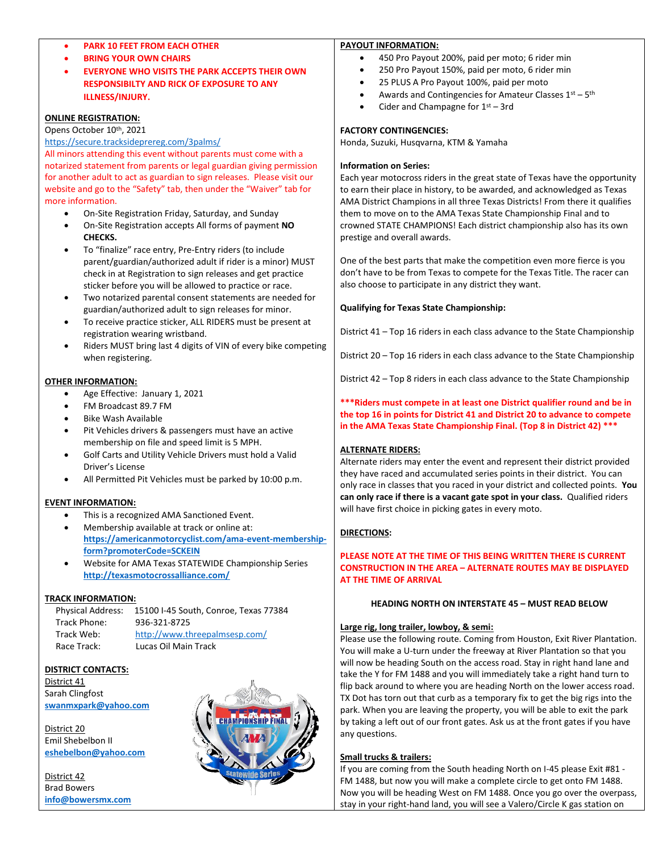# • **PARK 10 FEET FROM EACH OTHER**

- **BRING YOUR OWN CHAIRS**
- **EVERYONE WHO VISITS THE PARK ACCEPTS THEIR OWN RESPONSIBILTY AND RICK OF EXPOSURE TO ANY ILLNESS/INJURY.**

## **ONLINE REGISTRATION:**

Opens October 10th, 2021

#### <https://secure.tracksideprereg.com/3palms/>

All minors attending this event without parents must come with a notarized statement from parents or legal guardian giving permission for another adult to act as guardian to sign releases. Please visit our website and go to the "Safety" tab, then under the "Waiver" tab for more information.

- On-Site Registration Friday, Saturday, and Sunday
- On-Site Registration accepts All forms of payment **NO CHECKS.**
- To "finalize" race entry, Pre-Entry riders (to include parent/guardian/authorized adult if rider is a minor) MUST check in at Registration to sign releases and get practice sticker before you will be allowed to practice or race.
- Two notarized parental consent statements are needed for guardian/authorized adult to sign releases for minor.
- To receive practice sticker, ALL RIDERS must be present at registration wearing wristband.
- Riders MUST bring last 4 digits of VIN of every bike competing when registering.

#### **OTHER INFORMATION:**

- Age Effective: January 1, 2021
- FM Broadcast 89.7 FM
- Bike Wash Available
- Pit Vehicles drivers & passengers must have an active membership on file and speed limit is 5 MPH.
- Golf Carts and Utility Vehicle Drivers must hold a Valid Driver's License
- All Permitted Pit Vehicles must be parked by 10:00 p.m.

#### **EVENT INFORMATION:**

- This is a recognized AMA Sanctioned Event.
- Membership available at track or online at: **[https://americanmotorcyclist.com/ama-event-membership](https://americanmotorcyclist.com/ama-event-membership-form?promoterCode=SCKEIN)[form?promoterCode=SCKEIN](https://americanmotorcyclist.com/ama-event-membership-form?promoterCode=SCKEIN)**
- Website for AMA Texas STATEWIDE Championship Series **<http://texasmotocrossalliance.com/>**

#### **TRACK INFORMATION:**

| <b>Physical Address:</b> | 15100 I-45 South, Conroe, Texas 77384 |
|--------------------------|---------------------------------------|
| Track Phone:             | 936-321-8725                          |
| Track Web:               | http://www.threepalmsesp.com/         |
| Race Track:              | Lucas Oil Main Track                  |

#### **DISTRICT CONTACTS:**

District 41 Sarah Clingfost **[swanmxpark@yahoo.com](file:///C:/Users/Three%20Palms/Documents/swanmxpark@yahoo.com)**

District 20 Emil Shebelbon II **[eshebelbon@yahoo.com](mailto:eshebelbon@yahoo.com)**

District 42 Brad Bowers **[info@bowersmx.com](file:///C:/Users/Linda/AppData/Local/Microsoft/Windows/Temporary%20Internet%20Files/Content.Outlook/LN8T99AT/info@bowersmx.com)**



#### **PAYOUT INFORMATION:**

- 450 Pro Payout 200%, paid per moto; 6 rider min
- 250 Pro Payout 150%, paid per moto, 6 rider min
- 25 PLUS A Pro Payout 100%, paid per moto
- Awards and Contingencies for Amateur Classes  $1^{st} 5^{th}$
- Cider and Champagne for  $1<sup>st</sup> 3rd$

## **FACTORY CONTINGENCIES:**

Honda, Suzuki, Husqvarna, KTM & Yamaha

#### **Information on Series:**

Each year motocross riders in the great state of Texas have the opportunity to earn their place in history, to be awarded, and acknowledged as Texas AMA District Champions in all three Texas Districts! From there it qualifies them to move on to the AMA Texas State Championship Final and to crowned STATE CHAMPIONS! Each district championship also has its own prestige and overall awards.

One of the best parts that make the competition even more fierce is you don't have to be from Texas to compete for the Texas Title. The racer can also choose to participate in any district they want.

#### **Qualifying for Texas State Championship:**

District 41 – Top 16 riders in each class advance to the State Championship

District 20 – Top 16 riders in each class advance to the State Championship

District 42 – Top 8 riders in each class advance to the State Championship

## **\*\*\*Riders must compete in at least one District qualifier round and be in the top 16 in points for District 41 and District 20 to advance to compete in the AMA Texas State Championship Final. (Top 8 in District 42) \*\*\***

# **ALTERNATE RIDERS:**

Alternate riders may enter the event and represent their district provided they have raced and accumulated series points in their district. You can only race in classes that you raced in your district and collected points. **You can only race if there is a vacant gate spot in your class.** Qualified riders will have first choice in picking gates in every moto.

#### **DIRECTIONS:**

### **PLEASE NOTE AT THE TIME OF THIS BEING WRITTEN THERE IS CURRENT CONSTRUCTION IN THE AREA – ALTERNATE ROUTES MAY BE DISPLAYED AT THE TIME OF ARRIVAL**

# **HEADING NORTH ON INTERSTATE 45 – MUST READ BELOW**

#### **Large rig, long trailer, lowboy, & semi:**

Please use the following route. Coming from Houston, Exit River Plantation. You will make a U-turn under the freeway at River Plantation so that you will now be heading South on the access road. Stay in right hand lane and take the Y for FM 1488 and you will immediately take a right hand turn to flip back around to where you are heading North on the lower access road. TX Dot has torn out that curb as a temporary fix to get the big rigs into the park. When you are leaving the property, you will be able to exit the park by taking a left out of our front gates. Ask us at the front gates if you have any questions.

#### **Small trucks & trailers:**

If you are coming from the South heading North on I-45 please Exit #81 - FM 1488, but now you will make a complete circle to get onto FM 1488. Now you will be heading West on FM 1488. Once you go over the overpass, stay in your right-hand land, you will see a Valero/Circle K gas station on